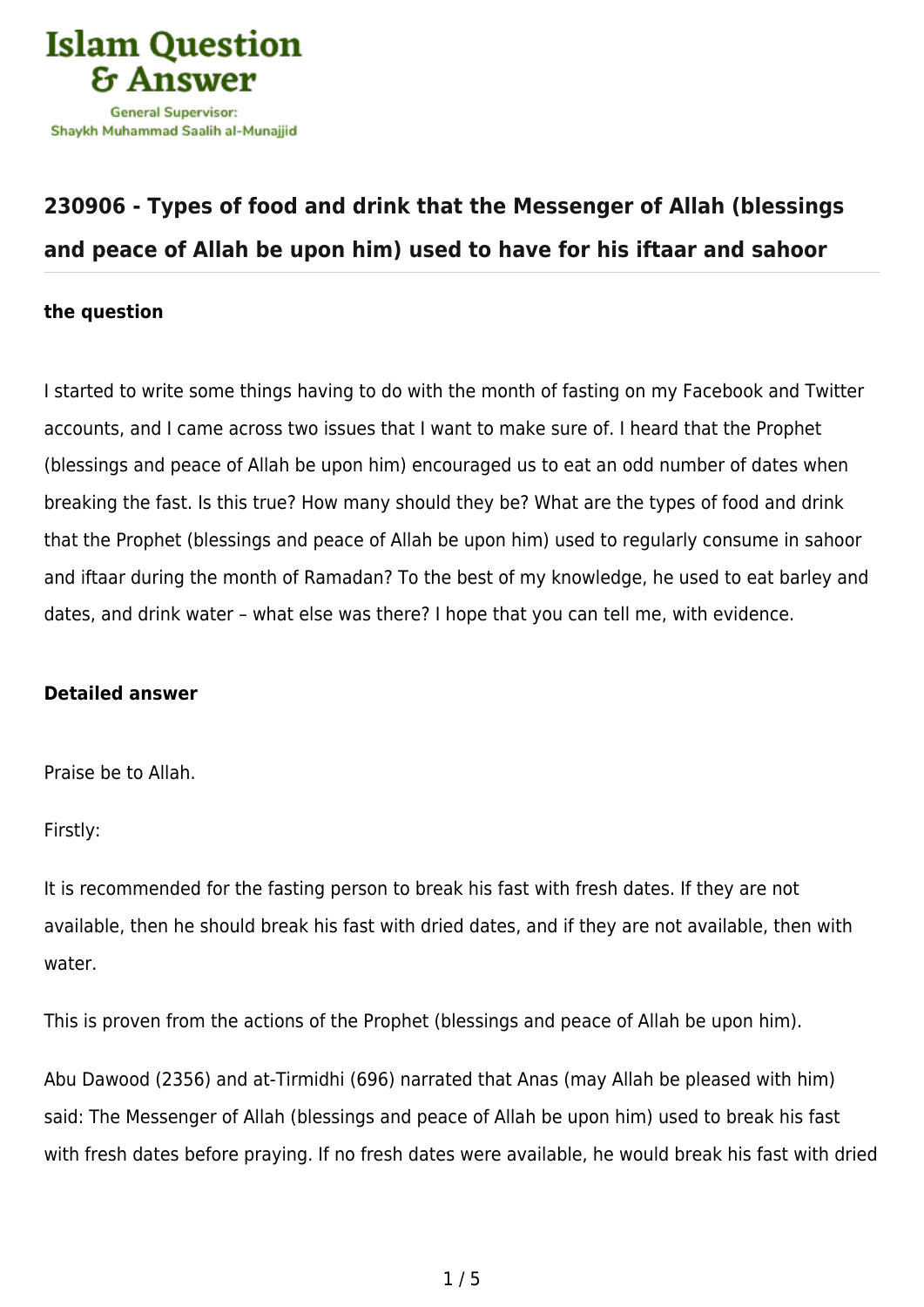

# **[230906 - Types of food and drink that the Messenger of Allah \(blessings](https://islamqa.com/en/answers/230906/types-of-food-and-drink-that-the-messenger-of-allah-blessings-and-peace-of-allah-be-upon-him-used-to-have-for-his-iftaar-and-sahoor) [and peace of Allah be upon him\) used to have for his iftaar and sahoor](https://islamqa.com/en/answers/230906/types-of-food-and-drink-that-the-messenger-of-allah-blessings-and-peace-of-allah-be-upon-him-used-to-have-for-his-iftaar-and-sahoor)**

# **the question**

I started to write some things having to do with the month of fasting on my Facebook and Twitter accounts, and I came across two issues that I want to make sure of. I heard that the Prophet (blessings and peace of Allah be upon him) encouraged us to eat an odd number of dates when breaking the fast. Is this true? How many should they be? What are the types of food and drink that the Prophet (blessings and peace of Allah be upon him) used to regularly consume in sahoor and iftaar during the month of Ramadan? To the best of my knowledge, he used to eat barley and dates, and drink water – what else was there? I hope that you can tell me, with evidence.

### **Detailed answer**

Praise be to Allah.

Firstly:

It is recommended for the fasting person to break his fast with fresh dates. If they are not available, then he should break his fast with dried dates, and if they are not available, then with water

This is proven from the actions of the Prophet (blessings and peace of Allah be upon him).

Abu Dawood (2356) and at-Tirmidhi (696) narrated that Anas (may Allah be pleased with him) said: The Messenger of Allah (blessings and peace of Allah be upon him) used to break his fast with fresh dates before praying. If no fresh dates were available, he would break his fast with dried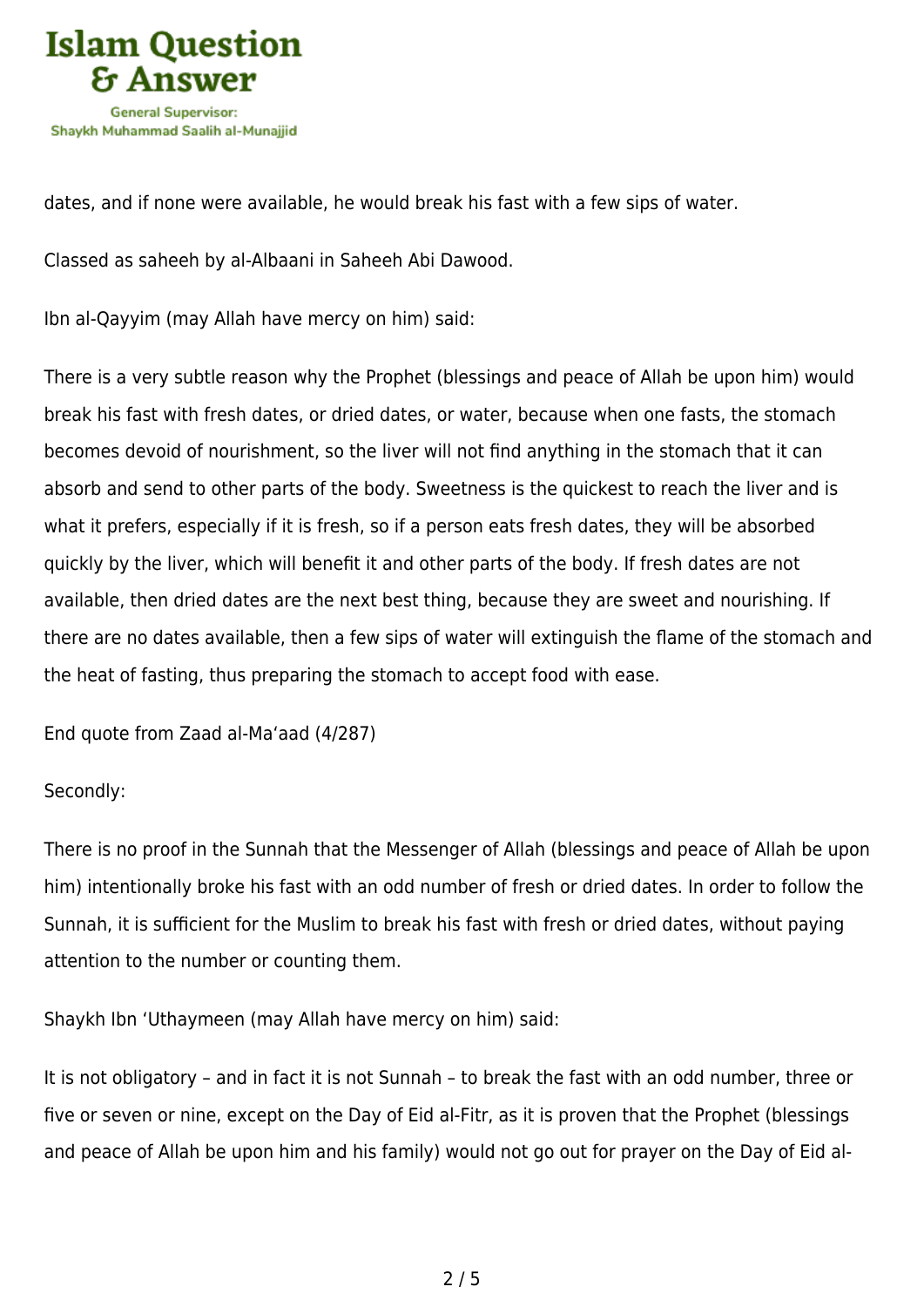

dates, and if none were available, he would break his fast with a few sips of water.

Classed as saheeh by al-Albaani in Saheeh Abi Dawood.

Ibn al-Qayyim (may Allah have mercy on him) said:

There is a very subtle reason why the Prophet (blessings and peace of Allah be upon him) would break his fast with fresh dates, or dried dates, or water, because when one fasts, the stomach becomes devoid of nourishment, so the liver will not find anything in the stomach that it can absorb and send to other parts of the body. Sweetness is the quickest to reach the liver and is what it prefers, especially if it is fresh, so if a person eats fresh dates, they will be absorbed quickly by the liver, which will benefit it and other parts of the body. If fresh dates are not available, then dried dates are the next best thing, because they are sweet and nourishing. If there are no dates available, then a few sips of water will extinguish the flame of the stomach and the heat of fasting, thus preparing the stomach to accept food with ease.

End quote from Zaad al-Ma'aad (4/287)

Secondly:

There is no proof in the Sunnah that the Messenger of Allah (blessings and peace of Allah be upon him) intentionally broke his fast with an odd number of fresh or dried dates. In order to follow the Sunnah, it is sufficient for the Muslim to break his fast with fresh or dried dates, without paying attention to the number or counting them.

Shaykh Ibn 'Uthaymeen (may Allah have mercy on him) said:

It is not obligatory – and in fact it is not Sunnah – to break the fast with an odd number, three or five or seven or nine, except on the Day of Eid al-Fitr, as it is proven that the Prophet (blessings and peace of Allah be upon him and his family) would not go out for prayer on the Day of Eid al-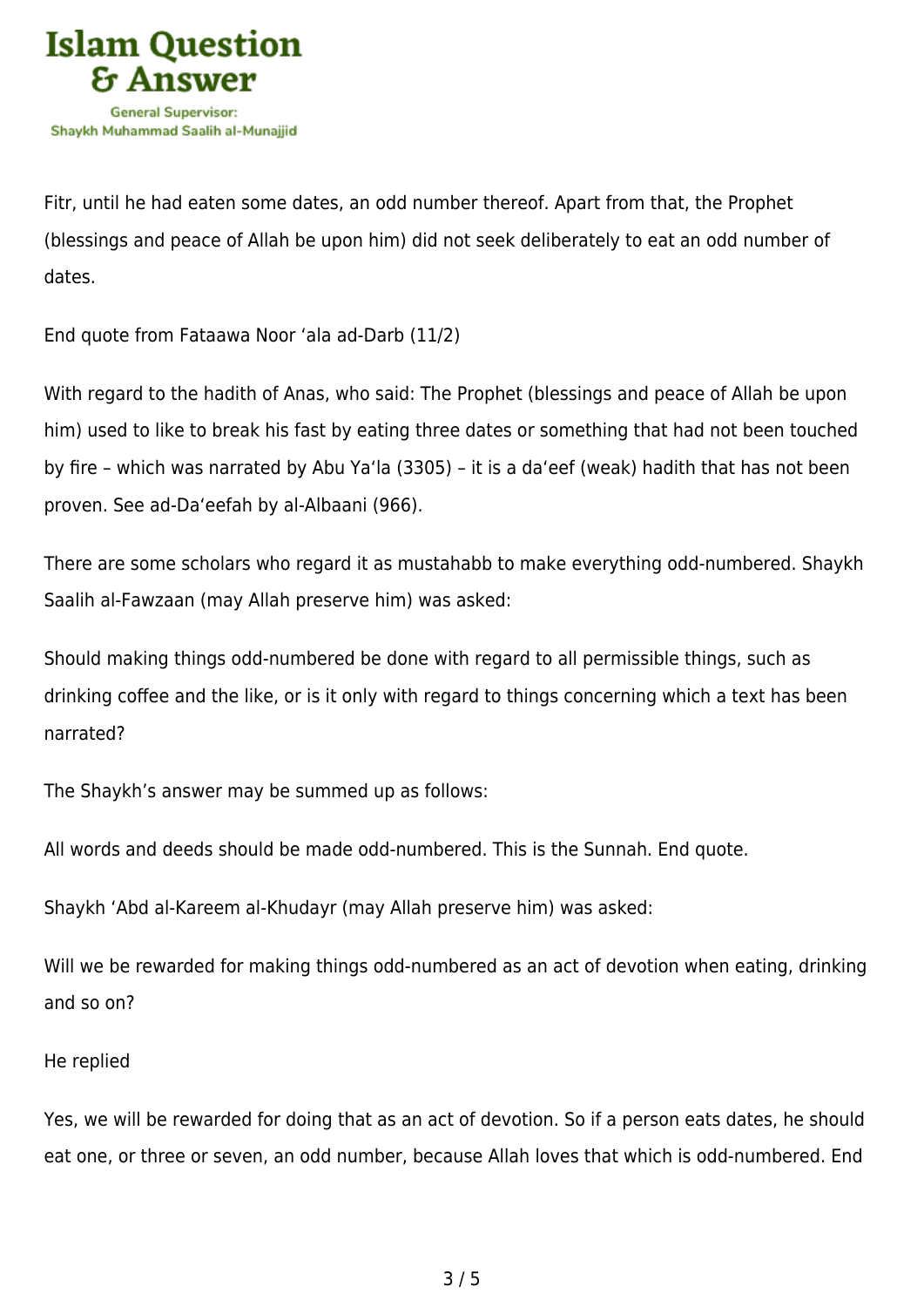

Fitr, until he had eaten some dates, an odd number thereof. Apart from that, the Prophet (blessings and peace of Allah be upon him) did not seek deliberately to eat an odd number of dates.

End quote from Fataawa Noor 'ala ad-Darb (11/2)

With regard to the hadith of Anas, who said: The Prophet (blessings and peace of Allah be upon him) used to like to break his fast by eating three dates or something that had not been touched by fire – which was narrated by Abu Ya'la (3305) – it is a da'eef (weak) hadith that has not been proven. See ad-Da'eefah by al-Albaani (966).

There are some scholars who regard it as mustahabb to make everything odd-numbered. Shaykh Saalih al-Fawzaan (may Allah preserve him) was asked:

Should making things odd-numbered be done with regard to all permissible things, such as drinking coffee and the like, or is it only with regard to things concerning which a text has been narrated?

The Shaykh's answer may be summed up as follows:

All words and deeds should be made odd-numbered. This is the Sunnah. End quote.

Shaykh 'Abd al-Kareem al-Khudayr (may Allah preserve him) was asked:

Will we be rewarded for making things odd-numbered as an act of devotion when eating, drinking and so on?

### He replied

Yes, we will be rewarded for doing that as an act of devotion. So if a person eats dates, he should eat one, or three or seven, an odd number, because Allah loves that which is odd-numbered. End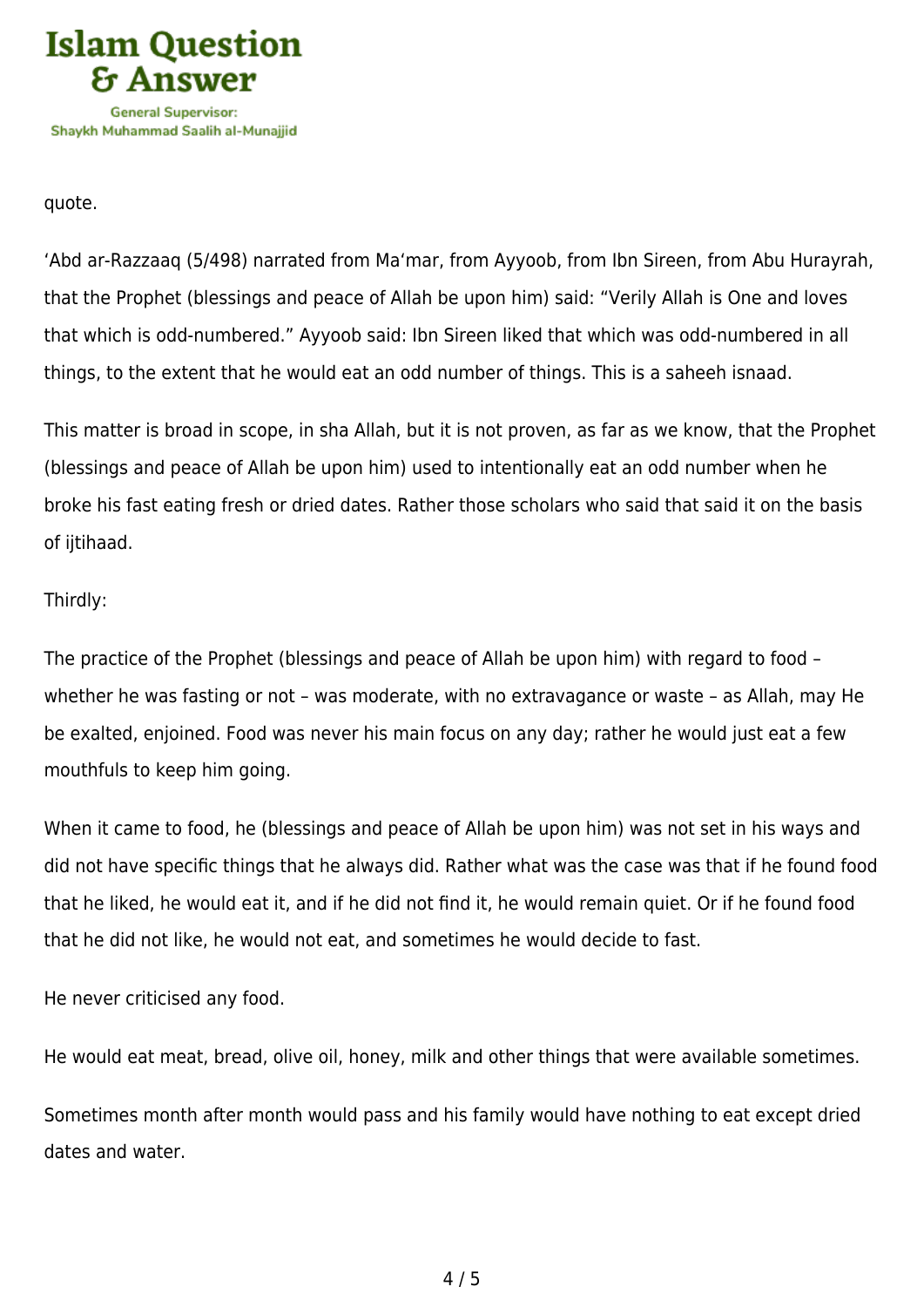

quote.

'Abd ar-Razzaaq (5/498) narrated from Ma'mar, from Ayyoob, from Ibn Sireen, from Abu Hurayrah, that the Prophet (blessings and peace of Allah be upon him) said: "Verily Allah is One and loves that which is odd-numbered." Ayyoob said: Ibn Sireen liked that which was odd-numbered in all things, to the extent that he would eat an odd number of things. This is a saheeh isnaad.

This matter is broad in scope, in sha Allah, but it is not proven, as far as we know, that the Prophet (blessings and peace of Allah be upon him) used to intentionally eat an odd number when he broke his fast eating fresh or dried dates. Rather those scholars who said that said it on the basis of ijtihaad.

# Thirdly:

The practice of the Prophet (blessings and peace of Allah be upon him) with regard to food – whether he was fasting or not – was moderate, with no extravagance or waste – as Allah, may He be exalted, enjoined. Food was never his main focus on any day; rather he would just eat a few mouthfuls to keep him going.

When it came to food, he (blessings and peace of Allah be upon him) was not set in his ways and did not have specific things that he always did. Rather what was the case was that if he found food that he liked, he would eat it, and if he did not find it, he would remain quiet. Or if he found food that he did not like, he would not eat, and sometimes he would decide to fast.

He never criticised any food.

He would eat meat, bread, olive oil, honey, milk and other things that were available sometimes.

Sometimes month after month would pass and his family would have nothing to eat except dried dates and water.